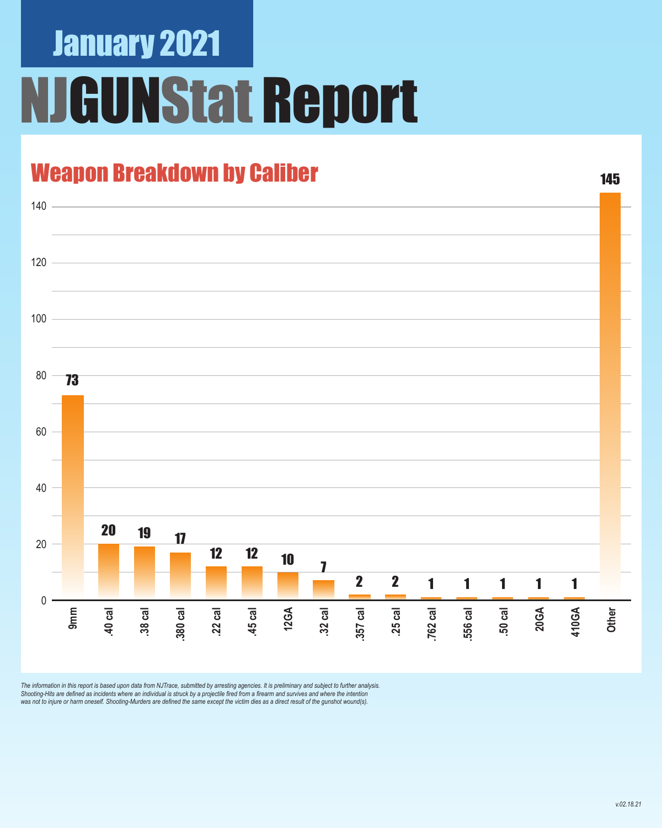# January 2021 **GUNStat Report**

#### Weapon Breakdown by Caliber



The information in this report is based upon data from NJTrace, submitted by arresting agencies. It is preliminary and subject to further analysis.<br>Shooting-Hits are defined as incidents where an individual is struck by a

145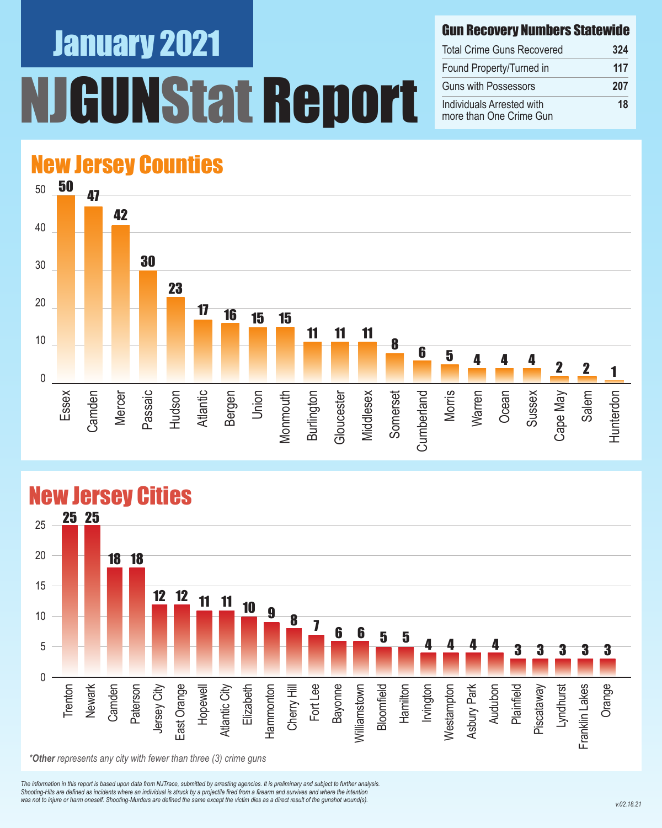### January 2021 UNStat Report

#### Gun Recovery Numbers Statewide

| <b>Total Crime Guns Recovered</b>                    | 324 |
|------------------------------------------------------|-----|
| Found Property/Turned in                             | 117 |
| <b>Guns with Possessors</b>                          | 207 |
| Individuals Arrested with<br>more than One Crime Gun | 18  |

### New Jersey Counties





#### New Jersey Cities

*The information in this report is based upon data from NJTrace, submitted by arresting agencies. It is preliminary and subject to further analysis. Shooting-Hits are defined as incidents where an individual is struck by a projectile fired from a firearm and survives and where the intention*  was not to injure or harm oneself. Shooting-Murders are defined the same except the victim dies as a direct result of the gunshot wound(s).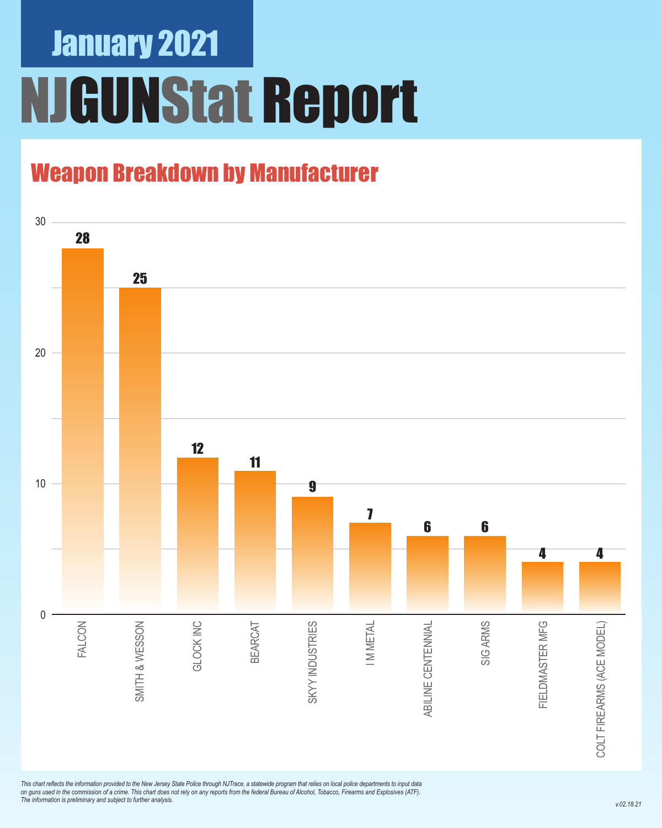# January 2021 NJGUNStat Report

### Weapon Breakdown by Manufacturer



*This chart reflects the information provided to the New Jersey State Police through NJTrace, a statewide program that relies on local police departments to input data on guns used in the commission of a crime. This chart does not rely on any reports from the federal Bureau of Alcohol, Tobacco, Firearms and Explosives (ATF). The information is preliminary and subject to further analysis.*